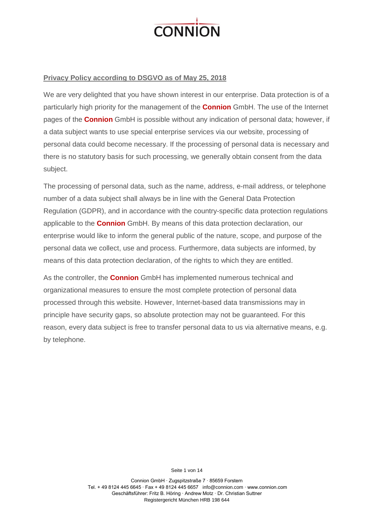

## **Privacy Policy according to DSGVO as of May 25, 2018**

We are very delighted that you have shown interest in our enterprise. Data protection is of a particularly high priority for the management of the **Connion** GmbH. The use of the Internet pages of the **Connion** GmbH is possible without any indication of personal data; however, if a data subject wants to use special enterprise services via our website, processing of personal data could become necessary. If the processing of personal data is necessary and there is no statutory basis for such processing, we generally obtain consent from the data subject.

The processing of personal data, such as the name, address, e-mail address, or telephone number of a data subject shall always be in line with the General Data Protection Regulation (GDPR), and in accordance with the country-specific data protection regulations applicable to the **Connion** GmbH. By means of this data protection declaration, our enterprise would like to inform the general public of the nature, scope, and purpose of the personal data we collect, use and process. Furthermore, data subjects are informed, by means of this data protection declaration, of the rights to which they are entitled.

As the controller, the **Connion** GmbH has implemented numerous technical and organizational measures to ensure the most complete protection of personal data processed through this website. However, Internet-based data transmissions may in principle have security gaps, so absolute protection may not be guaranteed. For this reason, every data subject is free to transfer personal data to us via alternative means, e.g. by telephone.

> Connion GmbH ∙ Zugspitzstraße 7 ∙ 85659 Forstern Tel. + 49 8124 445 6645 ∙ Fax + 49 8124 445 6657 [info@connion.com](mailto:info@connion.com) ∙ www.connion.com Geschäftsführer: Fritz B. Höring ∙ Andrew Motz ∙ Dr. Christian Suttner Registergericht München HRB 198 644

Seite 1 von 14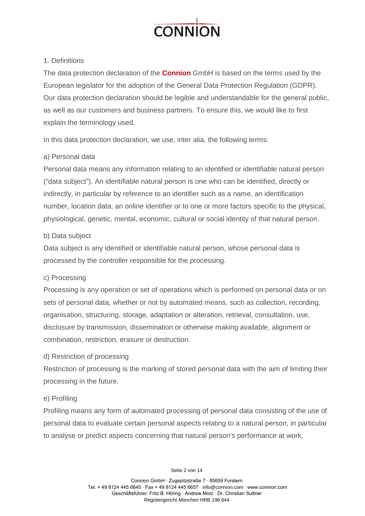

# 1. Definitions

The data protection declaration of the **Connion** GmbH is based on the terms used by the European legislator for the adoption of the General Data Protection Regulation (GDPR). Our data protection declaration should be legible and understandable for the general public, as well as our customers and business partners. To ensure this, we would like to first explain the terminology used.

In this data protection declaration, we use, inter alia, the following terms:

# a) Personal data

Personal data means any information relating to an identified or identifiable natural person ("data subject"). An identifiable natural person is one who can be identified, directly or indirectly, in particular by reference to an identifier such as a name, an identification number, location data, an online identifier or to one or more factors specific to the physical, physiological, genetic, mental, economic, cultural or social identity of that natural person.

# b) Data subject

Data subject is any identified or identifiable natural person, whose personal data is processed by the controller responsible for the processing.

# c) Processing

Processing is any operation or set of operations which is performed on personal data or on sets of personal data, whether or not by automated means, such as collection, recording, organisation, structuring, storage, adaptation or alteration, retrieval, consultation, use, disclosure by transmission, dissemination or otherwise making available, alignment or combination, restriction, erasure or destruction.

# d) Restriction of processing

Restriction of processing is the marking of stored personal data with the aim of limiting their processing in the future.

# e) Profiling

Profiling means any form of automated processing of personal data consisting of the use of personal data to evaluate certain personal aspects relating to a natural person, in particular to analyse or predict aspects concerning that natural person's performance at work,

Seite 2 von 14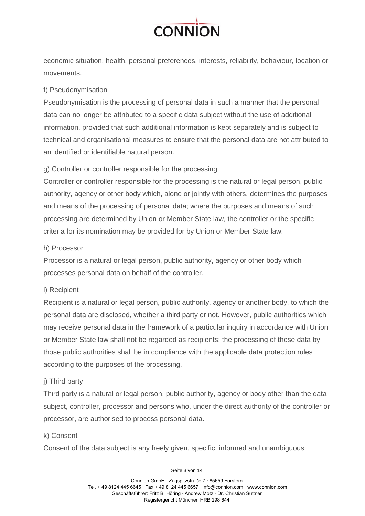

economic situation, health, personal preferences, interests, reliability, behaviour, location or movements.

# f) Pseudonymisation

Pseudonymisation is the processing of personal data in such a manner that the personal data can no longer be attributed to a specific data subject without the use of additional information, provided that such additional information is kept separately and is subject to technical and organisational measures to ensure that the personal data are not attributed to an identified or identifiable natural person.

# g) Controller or controller responsible for the processing

Controller or controller responsible for the processing is the natural or legal person, public authority, agency or other body which, alone or jointly with others, determines the purposes and means of the processing of personal data; where the purposes and means of such processing are determined by Union or Member State law, the controller or the specific criteria for its nomination may be provided for by Union or Member State law.

# h) Processor

Processor is a natural or legal person, public authority, agency or other body which processes personal data on behalf of the controller.

# i) Recipient

Recipient is a natural or legal person, public authority, agency or another body, to which the personal data are disclosed, whether a third party or not. However, public authorities which may receive personal data in the framework of a particular inquiry in accordance with Union or Member State law shall not be regarded as recipients; the processing of those data by those public authorities shall be in compliance with the applicable data protection rules according to the purposes of the processing.

# j) Third party

Third party is a natural or legal person, public authority, agency or body other than the data subject, controller, processor and persons who, under the direct authority of the controller or processor, are authorised to process personal data.

# k) Consent

Consent of the data subject is any freely given, specific, informed and unambiguous

#### Seite 3 von 14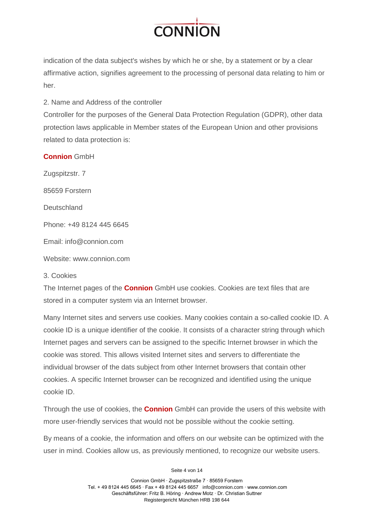

indication of the data subject's wishes by which he or she, by a statement or by a clear affirmative action, signifies agreement to the processing of personal data relating to him or her.

# 2. Name and Address of the controller

Controller for the purposes of the General Data Protection Regulation (GDPR), other data protection laws applicable in Member states of the European Union and other provisions related to data protection is:

# **Connion** GmbH

Zugspitzstr. 7 85659 Forstern **Deutschland** Phone: +49 8124 445 6645 Email: info@connion.com Website: www.connion.com

# 3. Cookies

The Internet pages of the **Connion** GmbH use cookies. Cookies are text files that are stored in a computer system via an Internet browser.

Many Internet sites and servers use cookies. Many cookies contain a so-called cookie ID. A cookie ID is a unique identifier of the cookie. It consists of a character string through which Internet pages and servers can be assigned to the specific Internet browser in which the cookie was stored. This allows visited Internet sites and servers to differentiate the individual browser of the dats subject from other Internet browsers that contain other cookies. A specific Internet browser can be recognized and identified using the unique cookie ID.

Through the use of cookies, the **Connion** GmbH can provide the users of this website with more user-friendly services that would not be possible without the cookie setting.

By means of a cookie, the information and offers on our website can be optimized with the user in mind. Cookies allow us, as previously mentioned, to recognize our website users.

Seite 4 von 14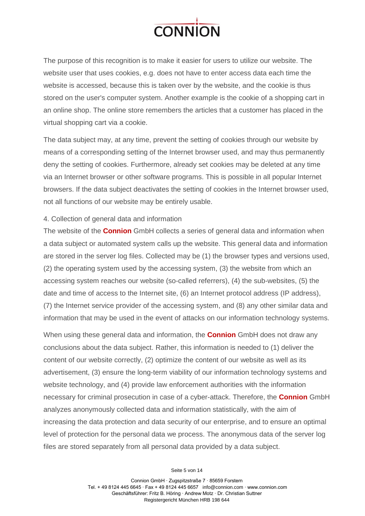

The purpose of this recognition is to make it easier for users to utilize our website. The website user that uses cookies, e.g. does not have to enter access data each time the website is accessed, because this is taken over by the website, and the cookie is thus stored on the user's computer system. Another example is the cookie of a shopping cart in an online shop. The online store remembers the articles that a customer has placed in the virtual shopping cart via a cookie.

The data subject may, at any time, prevent the setting of cookies through our website by means of a corresponding setting of the Internet browser used, and may thus permanently deny the setting of cookies. Furthermore, already set cookies may be deleted at any time via an Internet browser or other software programs. This is possible in all popular Internet browsers. If the data subject deactivates the setting of cookies in the Internet browser used, not all functions of our website may be entirely usable.

#### 4. Collection of general data and information

The website of the **Connion** GmbH collects a series of general data and information when a data subject or automated system calls up the website. This general data and information are stored in the server log files. Collected may be (1) the browser types and versions used, (2) the operating system used by the accessing system, (3) the website from which an accessing system reaches our website (so-called referrers), (4) the sub-websites, (5) the date and time of access to the Internet site, (6) an Internet protocol address (IP address), (7) the Internet service provider of the accessing system, and (8) any other similar data and information that may be used in the event of attacks on our information technology systems.

When using these general data and information, the **Connion** GmbH does not draw any conclusions about the data subject. Rather, this information is needed to (1) deliver the content of our website correctly, (2) optimize the content of our website as well as its advertisement, (3) ensure the long-term viability of our information technology systems and website technology, and (4) provide law enforcement authorities with the information necessary for criminal prosecution in case of a cyber-attack. Therefore, the **Connion** GmbH analyzes anonymously collected data and information statistically, with the aim of increasing the data protection and data security of our enterprise, and to ensure an optimal level of protection for the personal data we process. The anonymous data of the server log files are stored separately from all personal data provided by a data subject.

Seite 5 von 14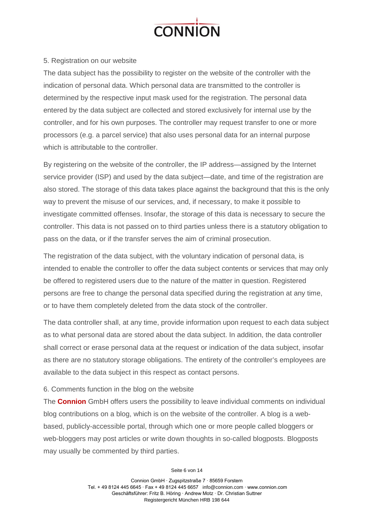

# 5. Registration on our website

The data subject has the possibility to register on the website of the controller with the indication of personal data. Which personal data are transmitted to the controller is determined by the respective input mask used for the registration. The personal data entered by the data subject are collected and stored exclusively for internal use by the controller, and for his own purposes. The controller may request transfer to one or more processors (e.g. a parcel service) that also uses personal data for an internal purpose which is attributable to the controller.

By registering on the website of the controller, the IP address—assigned by the Internet service provider (ISP) and used by the data subject—date, and time of the registration are also stored. The storage of this data takes place against the background that this is the only way to prevent the misuse of our services, and, if necessary, to make it possible to investigate committed offenses. Insofar, the storage of this data is necessary to secure the controller. This data is not passed on to third parties unless there is a statutory obligation to pass on the data, or if the transfer serves the aim of criminal prosecution.

The registration of the data subject, with the voluntary indication of personal data, is intended to enable the controller to offer the data subject contents or services that may only be offered to registered users due to the nature of the matter in question. Registered persons are free to change the personal data specified during the registration at any time, or to have them completely deleted from the data stock of the controller.

The data controller shall, at any time, provide information upon request to each data subject as to what personal data are stored about the data subject. In addition, the data controller shall correct or erase personal data at the request or indication of the data subject, insofar as there are no statutory storage obligations. The entirety of the controller's employees are available to the data subject in this respect as contact persons.

# 6. Comments function in the blog on the website

The **Connion** GmbH offers users the possibility to leave individual comments on individual blog contributions on a blog, which is on the website of the controller. A blog is a webbased, publicly-accessible portal, through which one or more people called bloggers or web-bloggers may post articles or write down thoughts in so-called blogposts. Blogposts may usually be commented by third parties.

Seite 6 von 14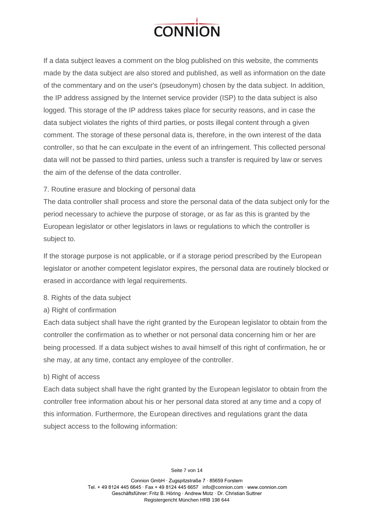

If a data subject leaves a comment on the blog published on this website, the comments made by the data subject are also stored and published, as well as information on the date of the commentary and on the user's (pseudonym) chosen by the data subject. In addition, the IP address assigned by the Internet service provider (ISP) to the data subject is also logged. This storage of the IP address takes place for security reasons, and in case the data subject violates the rights of third parties, or posts illegal content through a given comment. The storage of these personal data is, therefore, in the own interest of the data controller, so that he can exculpate in the event of an infringement. This collected personal data will not be passed to third parties, unless such a transfer is required by law or serves the aim of the defense of the data controller.

# 7. Routine erasure and blocking of personal data

The data controller shall process and store the personal data of the data subject only for the period necessary to achieve the purpose of storage, or as far as this is granted by the European legislator or other legislators in laws or regulations to which the controller is subject to.

If the storage purpose is not applicable, or if a storage period prescribed by the European legislator or another competent legislator expires, the personal data are routinely blocked or erased in accordance with legal requirements.

- 8. Rights of the data subject
- a) Right of confirmation

Each data subject shall have the right granted by the European legislator to obtain from the controller the confirmation as to whether or not personal data concerning him or her are being processed. If a data subject wishes to avail himself of this right of confirmation, he or she may, at any time, contact any employee of the controller.

#### b) Right of access

Each data subject shall have the right granted by the European legislator to obtain from the controller free information about his or her personal data stored at any time and a copy of this information. Furthermore, the European directives and regulations grant the data subject access to the following information: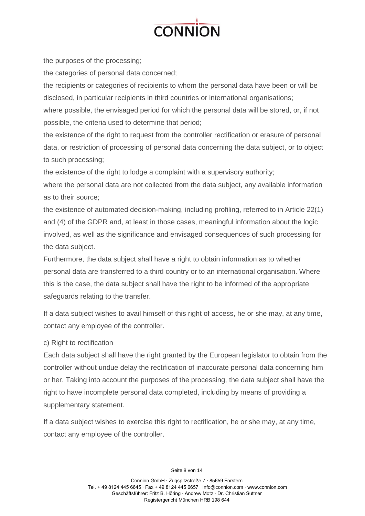

the purposes of the processing;

the categories of personal data concerned;

the recipients or categories of recipients to whom the personal data have been or will be disclosed, in particular recipients in third countries or international organisations;

where possible, the envisaged period for which the personal data will be stored, or, if not possible, the criteria used to determine that period;

the existence of the right to request from the controller rectification or erasure of personal data, or restriction of processing of personal data concerning the data subject, or to object to such processing;

the existence of the right to lodge a complaint with a supervisory authority;

where the personal data are not collected from the data subject, any available information as to their source;

the existence of automated decision-making, including profiling, referred to in Article 22(1) and (4) of the GDPR and, at least in those cases, meaningful information about the logic involved, as well as the significance and envisaged consequences of such processing for the data subject.

Furthermore, the data subject shall have a right to obtain information as to whether personal data are transferred to a third country or to an international organisation. Where this is the case, the data subject shall have the right to be informed of the appropriate safeguards relating to the transfer.

If a data subject wishes to avail himself of this right of access, he or she may, at any time, contact any employee of the controller.

# c) Right to rectification

Each data subject shall have the right granted by the European legislator to obtain from the controller without undue delay the rectification of inaccurate personal data concerning him or her. Taking into account the purposes of the processing, the data subject shall have the right to have incomplete personal data completed, including by means of providing a supplementary statement.

If a data subject wishes to exercise this right to rectification, he or she may, at any time, contact any employee of the controller.

Seite 8 von 14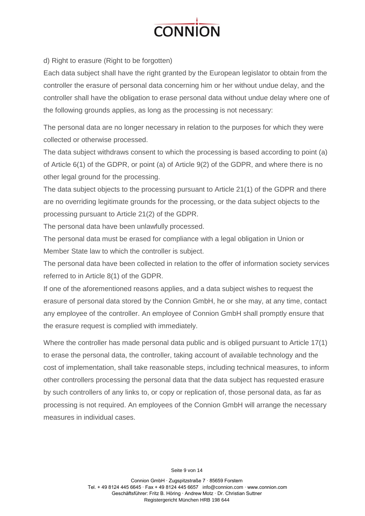

d) Right to erasure (Right to be forgotten)

Each data subject shall have the right granted by the European legislator to obtain from the controller the erasure of personal data concerning him or her without undue delay, and the controller shall have the obligation to erase personal data without undue delay where one of the following grounds applies, as long as the processing is not necessary:

The personal data are no longer necessary in relation to the purposes for which they were collected or otherwise processed.

The data subject withdraws consent to which the processing is based according to point (a) of Article 6(1) of the GDPR, or point (a) of Article 9(2) of the GDPR, and where there is no other legal ground for the processing.

The data subject objects to the processing pursuant to Article 21(1) of the GDPR and there are no overriding legitimate grounds for the processing, or the data subject objects to the processing pursuant to Article 21(2) of the GDPR.

The personal data have been unlawfully processed.

The personal data must be erased for compliance with a legal obligation in Union or Member State law to which the controller is subject.

The personal data have been collected in relation to the offer of information society services referred to in Article 8(1) of the GDPR.

If one of the aforementioned reasons applies, and a data subject wishes to request the erasure of personal data stored by the Connion GmbH, he or she may, at any time, contact any employee of the controller. An employee of Connion GmbH shall promptly ensure that the erasure request is complied with immediately.

Where the controller has made personal data public and is obliged pursuant to Article 17(1) to erase the personal data, the controller, taking account of available technology and the cost of implementation, shall take reasonable steps, including technical measures, to inform other controllers processing the personal data that the data subject has requested erasure by such controllers of any links to, or copy or replication of, those personal data, as far as processing is not required. An employees of the Connion GmbH will arrange the necessary measures in individual cases.

Seite 9 von 14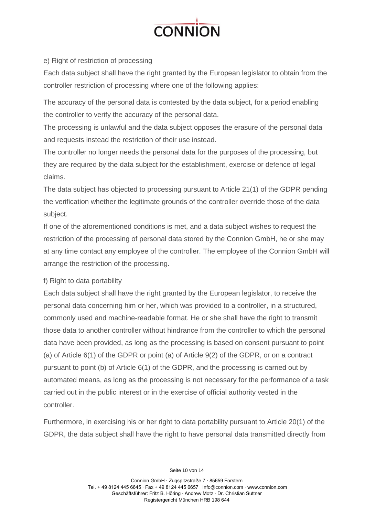

e) Right of restriction of processing

Each data subject shall have the right granted by the European legislator to obtain from the controller restriction of processing where one of the following applies:

The accuracy of the personal data is contested by the data subject, for a period enabling the controller to verify the accuracy of the personal data.

The processing is unlawful and the data subject opposes the erasure of the personal data and requests instead the restriction of their use instead.

The controller no longer needs the personal data for the purposes of the processing, but they are required by the data subject for the establishment, exercise or defence of legal claims.

The data subject has objected to processing pursuant to Article 21(1) of the GDPR pending the verification whether the legitimate grounds of the controller override those of the data subject.

If one of the aforementioned conditions is met, and a data subject wishes to request the restriction of the processing of personal data stored by the Connion GmbH, he or she may at any time contact any employee of the controller. The employee of the Connion GmbH will arrange the restriction of the processing.

# f) Right to data portability

Each data subject shall have the right granted by the European legislator, to receive the personal data concerning him or her, which was provided to a controller, in a structured, commonly used and machine-readable format. He or she shall have the right to transmit those data to another controller without hindrance from the controller to which the personal data have been provided, as long as the processing is based on consent pursuant to point (a) of Article 6(1) of the GDPR or point (a) of Article 9(2) of the GDPR, or on a contract pursuant to point (b) of Article 6(1) of the GDPR, and the processing is carried out by automated means, as long as the processing is not necessary for the performance of a task carried out in the public interest or in the exercise of official authority vested in the controller.

Furthermore, in exercising his or her right to data portability pursuant to Article 20(1) of the GDPR, the data subject shall have the right to have personal data transmitted directly from

Seite 10 von 14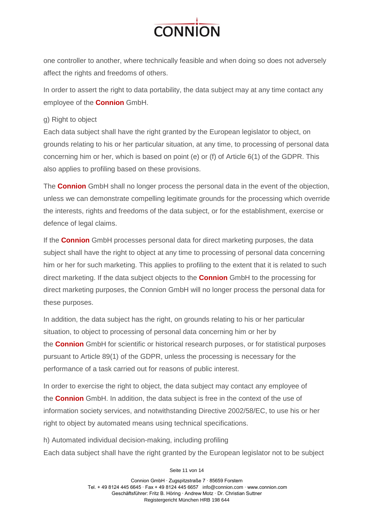

one controller to another, where technically feasible and when doing so does not adversely affect the rights and freedoms of others.

In order to assert the right to data portability, the data subject may at any time contact any employee of the **Connion** GmbH.

## g) Right to object

Each data subject shall have the right granted by the European legislator to object, on grounds relating to his or her particular situation, at any time, to processing of personal data concerning him or her, which is based on point (e) or (f) of Article 6(1) of the GDPR. This also applies to profiling based on these provisions.

The **Connion** GmbH shall no longer process the personal data in the event of the objection, unless we can demonstrate compelling legitimate grounds for the processing which override the interests, rights and freedoms of the data subject, or for the establishment, exercise or defence of legal claims.

If the **Connion** GmbH processes personal data for direct marketing purposes, the data subject shall have the right to object at any time to processing of personal data concerning him or her for such marketing. This applies to profiling to the extent that it is related to such direct marketing. If the data subject objects to the **Connion** GmbH to the processing for direct marketing purposes, the Connion GmbH will no longer process the personal data for these purposes.

In addition, the data subject has the right, on grounds relating to his or her particular situation, to object to processing of personal data concerning him or her by the **Connion** GmbH for scientific or historical research purposes, or for statistical purposes pursuant to Article 89(1) of the GDPR, unless the processing is necessary for the performance of a task carried out for reasons of public interest.

In order to exercise the right to object, the data subject may contact any employee of the **Connion** GmbH. In addition, the data subject is free in the context of the use of information society services, and notwithstanding Directive 2002/58/EC, to use his or her right to object by automated means using technical specifications.

h) Automated individual decision-making, including profiling Each data subject shall have the right granted by the European legislator not to be subject

Seite 11 von 14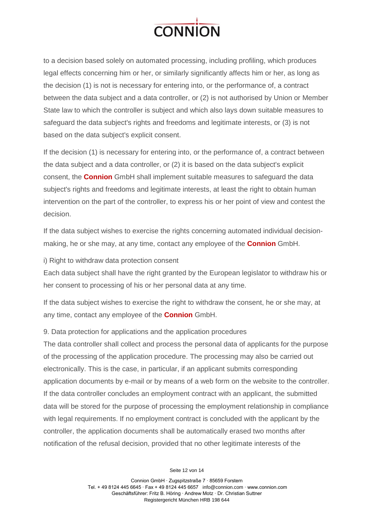

to a decision based solely on automated processing, including profiling, which produces legal effects concerning him or her, or similarly significantly affects him or her, as long as the decision (1) is not is necessary for entering into, or the performance of, a contract between the data subject and a data controller, or (2) is not authorised by Union or Member State law to which the controller is subject and which also lays down suitable measures to safeguard the data subject's rights and freedoms and legitimate interests, or (3) is not based on the data subject's explicit consent.

If the decision (1) is necessary for entering into, or the performance of, a contract between the data subject and a data controller, or (2) it is based on the data subject's explicit consent, the **Connion** GmbH shall implement suitable measures to safeguard the data subject's rights and freedoms and legitimate interests, at least the right to obtain human intervention on the part of the controller, to express his or her point of view and contest the decision.

If the data subject wishes to exercise the rights concerning automated individual decisionmaking, he or she may, at any time, contact any employee of the **Connion** GmbH.

i) Right to withdraw data protection consent

Each data subject shall have the right granted by the European legislator to withdraw his or her consent to processing of his or her personal data at any time.

If the data subject wishes to exercise the right to withdraw the consent, he or she may, at any time, contact any employee of the **Connion** GmbH.

9. Data protection for applications and the application procedures

The data controller shall collect and process the personal data of applicants for the purpose of the processing of the application procedure. The processing may also be carried out electronically. This is the case, in particular, if an applicant submits corresponding application documents by e-mail or by means of a web form on the website to the controller. If the data controller concludes an employment contract with an applicant, the submitted data will be stored for the purpose of processing the employment relationship in compliance with legal requirements. If no employment contract is concluded with the applicant by the controller, the application documents shall be automatically erased two months after notification of the refusal decision, provided that no other legitimate interests of the

Seite 12 von 14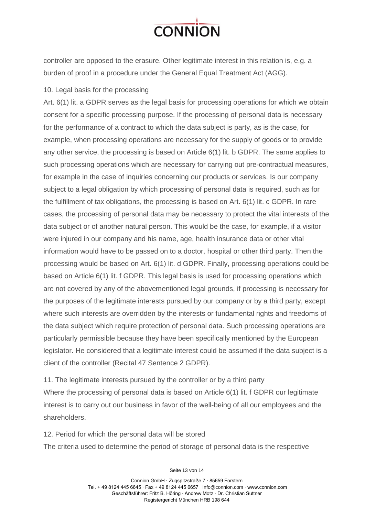

controller are opposed to the erasure. Other legitimate interest in this relation is, e.g. a burden of proof in a procedure under the General Equal Treatment Act (AGG).

#### 10. Legal basis for the processing

Art. 6(1) lit. a GDPR serves as the legal basis for processing operations for which we obtain consent for a specific processing purpose. If the processing of personal data is necessary for the performance of a contract to which the data subject is party, as is the case, for example, when processing operations are necessary for the supply of goods or to provide any other service, the processing is based on Article 6(1) lit. b GDPR. The same applies to such processing operations which are necessary for carrying out pre-contractual measures, for example in the case of inquiries concerning our products or services. Is our company subject to a legal obligation by which processing of personal data is required, such as for the fulfillment of tax obligations, the processing is based on Art. 6(1) lit. c GDPR. In rare cases, the processing of personal data may be necessary to protect the vital interests of the data subject or of another natural person. This would be the case, for example, if a visitor were injured in our company and his name, age, health insurance data or other vital information would have to be passed on to a doctor, hospital or other third party. Then the processing would be based on Art. 6(1) lit. d GDPR. Finally, processing operations could be based on Article 6(1) lit. f GDPR. This legal basis is used for processing operations which are not covered by any of the abovementioned legal grounds, if processing is necessary for the purposes of the legitimate interests pursued by our company or by a third party, except where such interests are overridden by the interests or fundamental rights and freedoms of the data subject which require protection of personal data. Such processing operations are particularly permissible because they have been specifically mentioned by the European legislator. He considered that a legitimate interest could be assumed if the data subject is a client of the controller (Recital 47 Sentence 2 GDPR).

11. The legitimate interests pursued by the controller or by a third party Where the processing of personal data is based on Article 6(1) lit. f GDPR our legitimate interest is to carry out our business in favor of the well-being of all our employees and the shareholders.

12. Period for which the personal data will be stored

The criteria used to determine the period of storage of personal data is the respective

Seite 13 von 14